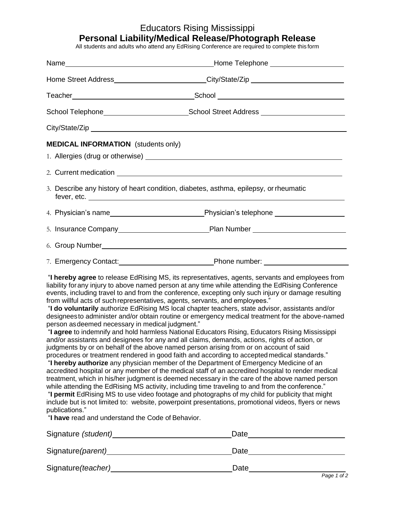## Educators Rising Mississippi

## **Personal Liability/Medical Release/Photograph Release**

All students and adults who attend any EdRising Conference are required to complete this form

|                                            | Home Street Address__________________________City/State/Zip ____________________                    |
|--------------------------------------------|-----------------------------------------------------------------------------------------------------|
|                                            |                                                                                                     |
|                                            | School Telephone_______________________________School Street Address ______________________________ |
|                                            |                                                                                                     |
| <b>MEDICAL INFORMATION</b> (students only) |                                                                                                     |
|                                            |                                                                                                     |
|                                            | 3. Describe any history of heart condition, diabetes, asthma, epilepsy, or rheumatic<br>fever, etc. |
|                                            |                                                                                                     |
|                                            |                                                                                                     |
|                                            |                                                                                                     |
|                                            |                                                                                                     |
|                                            | "I haraby agree to relegge EdDicing MC its representatives, genets convents and employees from      |

"**I hereby agree** to release EdRising MS, its representatives, agents, servants and employees from liability forany injury to above named person at any time while attending the EdRising Conference events, including travel to and from the conference, excepting only such injury or damage resulting from willful acts of suchrepresentatives, agents, servants, and employees."

"**I do voluntarily** authorize EdRising MS local chapter teachers, state advisor, assistants and/or designeesto administer and/or obtain routine or emergency medical treatment for the above-named person asdeemed necessary in medical judgment."

"**I agree** to indemnify and hold harmless National Educators Rising, Educators Rising Mississippi and/or assistants and designees for any and all claims, demands, actions, rights of action, or judgments by or on behalf of the above named person arising from or on account of said procedures or treatment rendered in good faith and according to acceptedmedical standards."

"**I hereby authorize** any physician member of the Department of Emergency Medicine of an accredited hospital or any member of the medical staff of an accredited hospital to render medical treatment, which in his/her judgment is deemed necessary in the care of the above named person while attending the EdRising MS activity, including time traveling to and from the conference."

"**I permit** EdRising MS to use video footage and photographs of my child for publicity that might include but is not limited to: website, powerpoint presentations, promotional videos, flyers or news publications."

"**I have** read and understand the Code of Behavior.

| Signature (student) | Date              |
|---------------------|-------------------|
| Signature (parent)  | Date              |
| Signature (teacher) | Date<br>$D = 4.5$ |